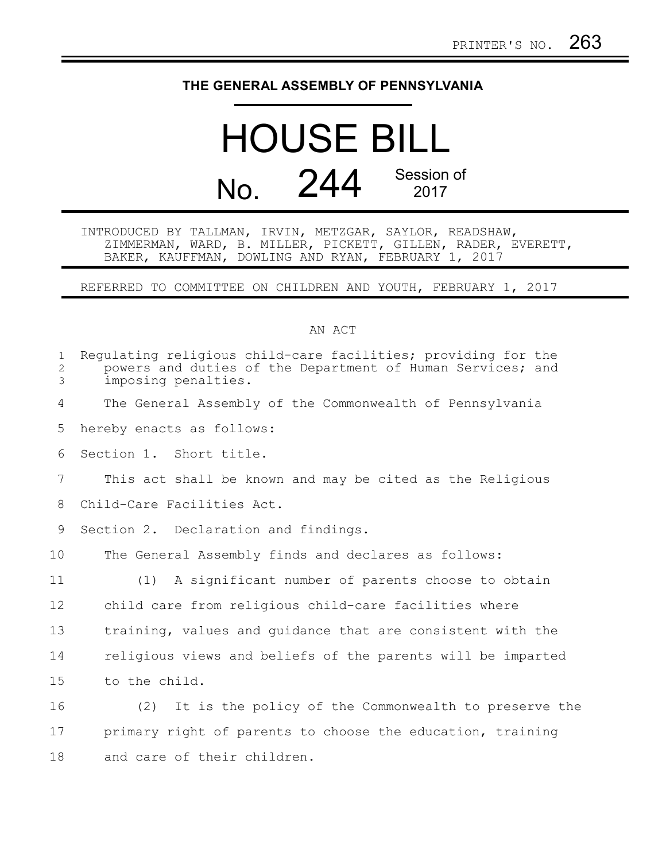## **THE GENERAL ASSEMBLY OF PENNSYLVANIA**

## HOUSE BILL No. 244 Session of 2017

INTRODUCED BY TALLMAN, IRVIN, METZGAR, SAYLOR, READSHAW, ZIMMERMAN, WARD, B. MILLER, PICKETT, GILLEN, RADER, EVERETT, BAKER, KAUFFMAN, DOWLING AND RYAN, FEBRUARY 1, 2017

REFERRED TO COMMITTEE ON CHILDREN AND YOUTH, FEBRUARY 1, 2017

## AN ACT

| $\mathbf{1}$<br>2<br>3 | Requlating religious child-care facilities; providing for the<br>powers and duties of the Department of Human Services; and<br>imposing penalties. |
|------------------------|----------------------------------------------------------------------------------------------------------------------------------------------------|
| 4                      | The General Assembly of the Commonwealth of Pennsylvania                                                                                           |
| 5                      | hereby enacts as follows:                                                                                                                          |
| 6                      | Section 1. Short title.                                                                                                                            |
| $7\phantom{.0}$        | This act shall be known and may be cited as the Religious                                                                                          |
| 8                      | Child-Care Facilities Act.                                                                                                                         |
| 9                      | Section 2. Declaration and findings.                                                                                                               |
| 10                     | The General Assembly finds and declares as follows:                                                                                                |
| 11                     | (1) A significant number of parents choose to obtain                                                                                               |
| 12                     | child care from religious child-care facilities where                                                                                              |
| 13                     | training, values and guidance that are consistent with the                                                                                         |
| 14                     | religious views and beliefs of the parents will be imparted                                                                                        |
| 15                     | to the child.                                                                                                                                      |
| 16                     | It is the policy of the Commonwealth to preserve the<br>(2)                                                                                        |
| 17                     | primary right of parents to choose the education, training                                                                                         |
| 18                     | and care of their children.                                                                                                                        |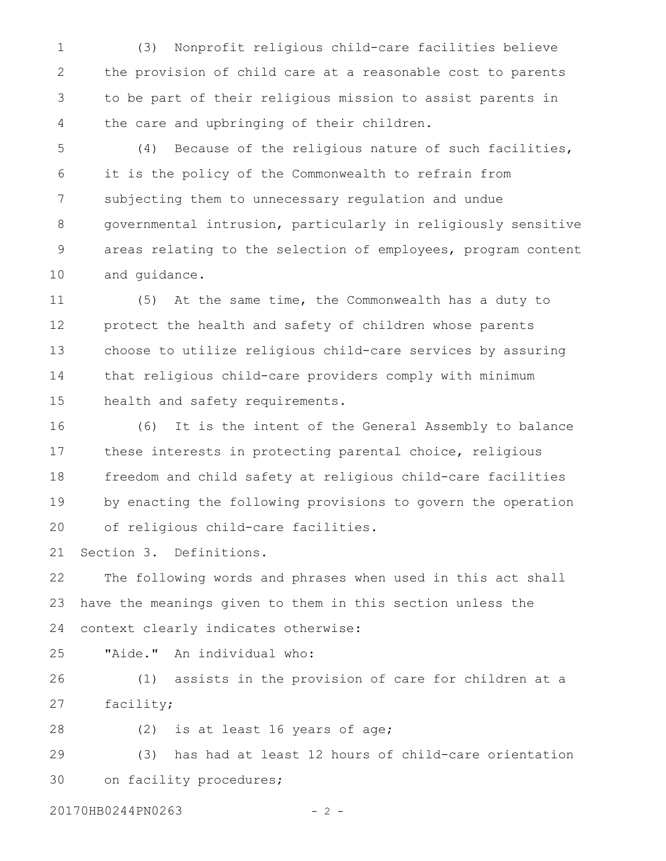(3) Nonprofit religious child-care facilities believe the provision of child care at a reasonable cost to parents to be part of their religious mission to assist parents in the care and upbringing of their children. 1 2 3 4

(4) Because of the religious nature of such facilities, it is the policy of the Commonwealth to refrain from subjecting them to unnecessary regulation and undue governmental intrusion, particularly in religiously sensitive areas relating to the selection of employees, program content and guidance. 5 6 7 8 9 10

(5) At the same time, the Commonwealth has a duty to protect the health and safety of children whose parents choose to utilize religious child-care services by assuring that religious child-care providers comply with minimum health and safety requirements. 11 12 13 14 15

(6) It is the intent of the General Assembly to balance these interests in protecting parental choice, religious freedom and child safety at religious child-care facilities by enacting the following provisions to govern the operation of religious child-care facilities. 16 17 18 19 20

Section 3. Definitions. 21

The following words and phrases when used in this act shall have the meanings given to them in this section unless the context clearly indicates otherwise: 22 23 24

"Aide." An individual who: 25

(1) assists in the provision of care for children at a facility; 26 27

(2) is at least 16 years of age; 28

(3) has had at least 12 hours of child-care orientation on facility procedures; 29 30

20170HB0244PN0263 - 2 -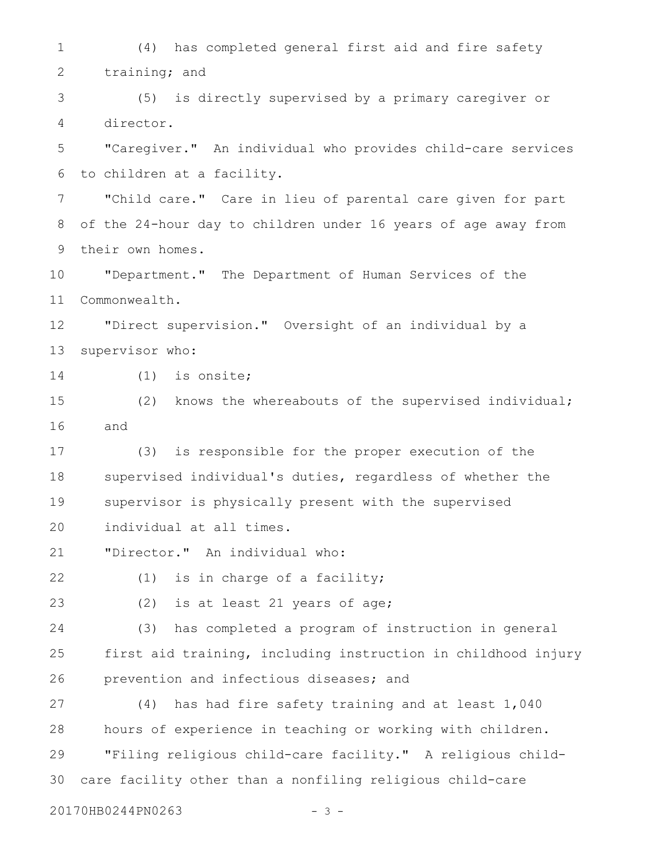(4) has completed general first aid and fire safety training; and (5) is directly supervised by a primary caregiver or director. "Caregiver." An individual who provides child-care services to children at a facility. "Child care." Care in lieu of parental care given for part of the 24-hour day to children under 16 years of age away from their own homes. "Department." The Department of Human Services of the Commonwealth. "Direct supervision." Oversight of an individual by a supervisor who: (1) is onsite; (2) knows the whereabouts of the supervised individual; and (3) is responsible for the proper execution of the supervised individual's duties, regardless of whether the supervisor is physically present with the supervised individual at all times. "Director." An individual who: (1) is in charge of a facility; (2) is at least 21 years of age; (3) has completed a program of instruction in general first aid training, including instruction in childhood injury prevention and infectious diseases; and (4) has had fire safety training and at least 1,040 hours of experience in teaching or working with children. "Filing religious child-care facility." A religious childcare facility other than a nonfiling religious child-care 1 2 3 4 5 6 7 8 9 10 11 12 13 14 15 16 17 18 19 20 21 22 23 24 25 26 27 28 29 30

20170HB0244PN0263 - 3 -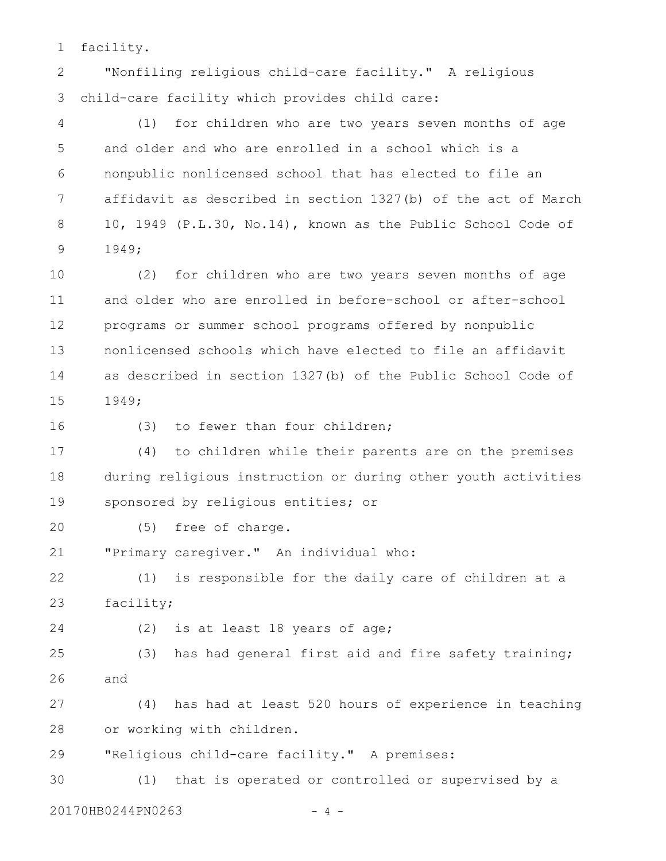facility. 1

"Nonfiling religious child-care facility." A religious child-care facility which provides child care: 2 3

(1) for children who are two years seven months of age and older and who are enrolled in a school which is a nonpublic nonlicensed school that has elected to file an affidavit as described in section 1327(b) of the act of March 10, 1949 (P.L.30, No.14), known as the Public School Code of 1949; 4 5 6 7 8 9

(2) for children who are two years seven months of age and older who are enrolled in before-school or after-school programs or summer school programs offered by nonpublic nonlicensed schools which have elected to file an affidavit as described in section 1327(b) of the Public School Code of 1949; 10 11 12 13 14 15

16

(3) to fewer than four children;

(4) to children while their parents are on the premises during religious instruction or during other youth activities sponsored by religious entities; or 17 18 19

(5) free of charge. 20

"Primary caregiver." An individual who: 21

(1) is responsible for the daily care of children at a facility; 22 23

(2) is at least 18 years of age; 24

(3) has had general first aid and fire safety training; and 25 26

(4) has had at least 520 hours of experience in teaching or working with children. 27 28

"Religious child-care facility." A premises: 29

(1) that is operated or controlled or supervised by a 20170HB0244PN0263 - 4 -30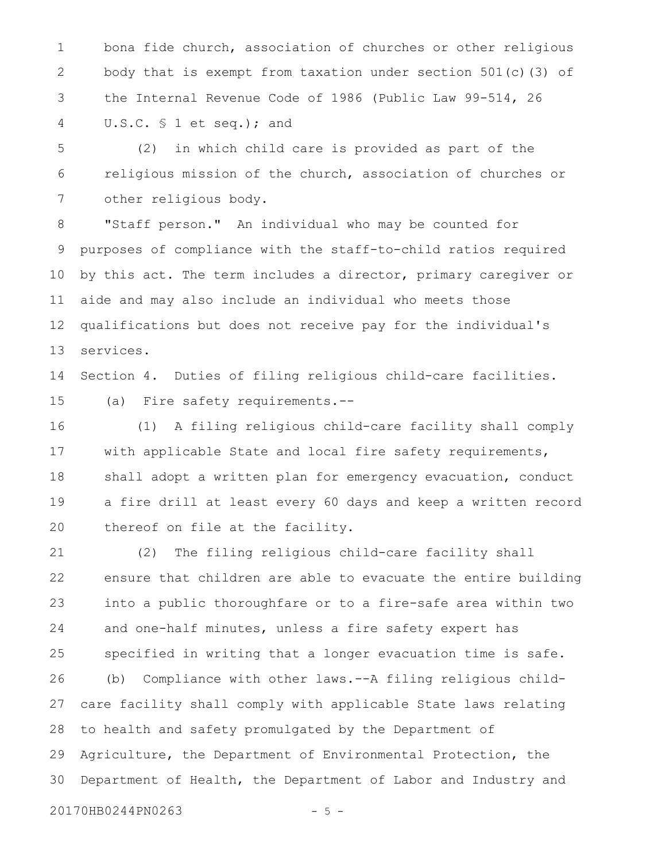bona fide church, association of churches or other religious body that is exempt from taxation under section  $501(c)$  (3) of the Internal Revenue Code of 1986 (Public Law 99-514, 26 U.S.C. § 1 et seq.); and 1 2 3 4

(2) in which child care is provided as part of the religious mission of the church, association of churches or other religious body. 5 6 7

"Staff person." An individual who may be counted for purposes of compliance with the staff-to-child ratios required by this act. The term includes a director, primary caregiver or aide and may also include an individual who meets those qualifications but does not receive pay for the individual's services. 8 9 10 11 12 13

Section 4. Duties of filing religious child-care facilities. (a) Fire safety requirements.-- 14 15

(1) A filing religious child-care facility shall comply with applicable State and local fire safety requirements, shall adopt a written plan for emergency evacuation, conduct a fire drill at least every 60 days and keep a written record thereof on file at the facility. 16 17 18 19 20

(2) The filing religious child-care facility shall ensure that children are able to evacuate the entire building into a public thoroughfare or to a fire-safe area within two and one-half minutes, unless a fire safety expert has specified in writing that a longer evacuation time is safe. (b) Compliance with other laws.--A filing religious childcare facility shall comply with applicable State laws relating to health and safety promulgated by the Department of Agriculture, the Department of Environmental Protection, the Department of Health, the Department of Labor and Industry and 21 22 23 24 25 26 27 28 29 30

20170HB0244PN0263 - 5 -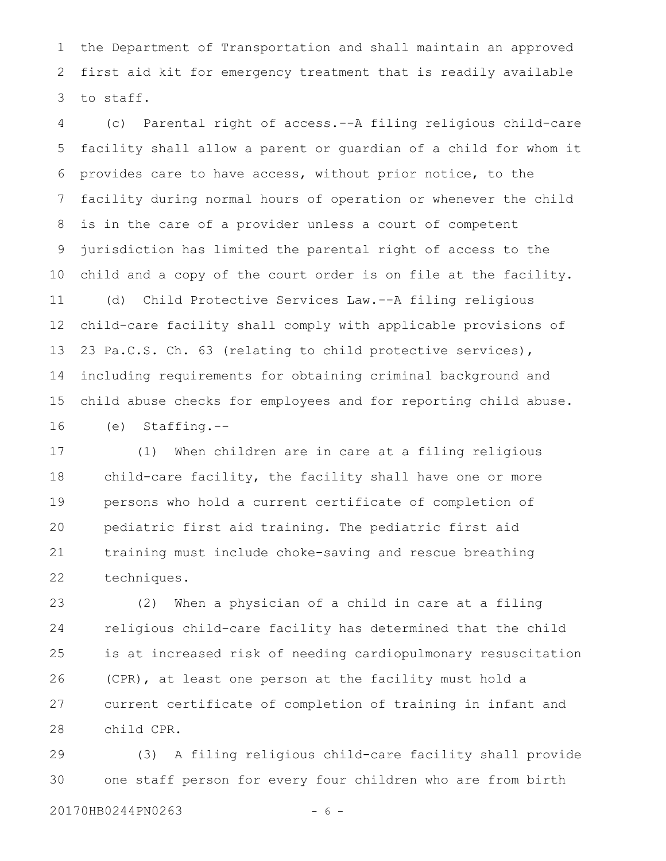the Department of Transportation and shall maintain an approved first aid kit for emergency treatment that is readily available to staff. 1 2 3

(c) Parental right of access.--A filing religious child-care facility shall allow a parent or guardian of a child for whom it provides care to have access, without prior notice, to the facility during normal hours of operation or whenever the child is in the care of a provider unless a court of competent jurisdiction has limited the parental right of access to the child and a copy of the court order is on file at the facility. (d) Child Protective Services Law.--A filing religious child-care facility shall comply with applicable provisions of 23 Pa.C.S. Ch. 63 (relating to child protective services), including requirements for obtaining criminal background and child abuse checks for employees and for reporting child abuse. (e) Staffing.-- 4 5 6 7 8 9 10 11 12 13 14 15 16

(1) When children are in care at a filing religious child-care facility, the facility shall have one or more persons who hold a current certificate of completion of pediatric first aid training. The pediatric first aid training must include choke-saving and rescue breathing techniques. 17 18 19 20 21 22

(2) When a physician of a child in care at a filing religious child-care facility has determined that the child is at increased risk of needing cardiopulmonary resuscitation (CPR), at least one person at the facility must hold a current certificate of completion of training in infant and child CPR. 23 24 25 26 27 28

(3) A filing religious child-care facility shall provide one staff person for every four children who are from birth 29 30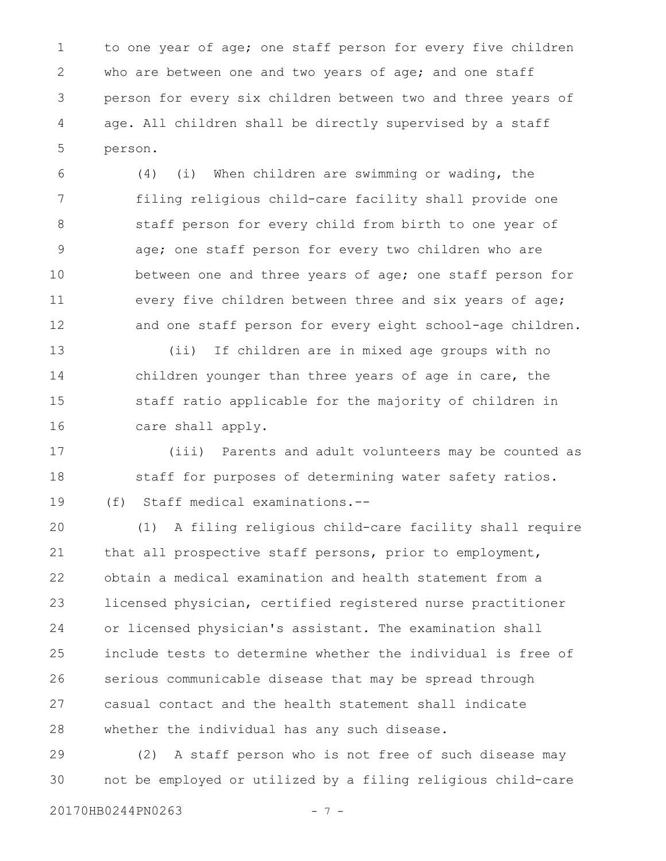to one year of age; one staff person for every five children who are between one and two years of age; and one staff person for every six children between two and three years of age. All children shall be directly supervised by a staff person. 1 2 3 4 5

(4) (i) When children are swimming or wading, the filing religious child-care facility shall provide one staff person for every child from birth to one year of age; one staff person for every two children who are between one and three years of age; one staff person for every five children between three and six years of age; and one staff person for every eight school-age children. 6 7 8 9 10 11 12

(ii) If children are in mixed age groups with no children younger than three years of age in care, the staff ratio applicable for the majority of children in care shall apply. 13 14 15 16

(iii) Parents and adult volunteers may be counted as staff for purposes of determining water safety ratios. (f) Staff medical examinations.-- 17 18 19

(1) A filing religious child-care facility shall require that all prospective staff persons, prior to employment, obtain a medical examination and health statement from a licensed physician, certified registered nurse practitioner or licensed physician's assistant. The examination shall include tests to determine whether the individual is free of serious communicable disease that may be spread through casual contact and the health statement shall indicate whether the individual has any such disease. 20 21 22 23 24 25 26 27 28

(2) A staff person who is not free of such disease may not be employed or utilized by a filing religious child-care 29 30

20170HB0244PN0263 - 7 -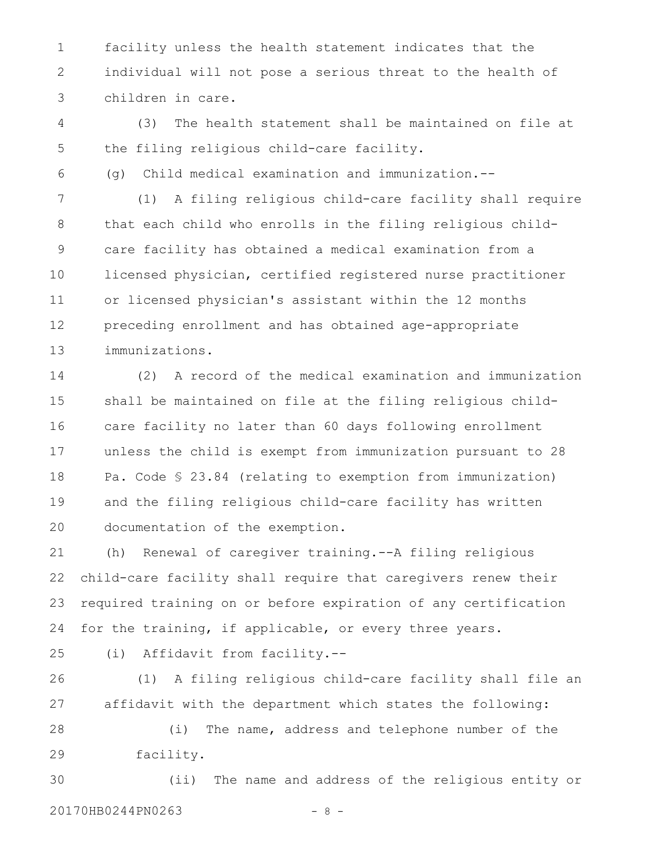facility unless the health statement indicates that the individual will not pose a serious threat to the health of children in care. 1 2 3

(3) The health statement shall be maintained on file at the filing religious child-care facility. 4 5

6

(g) Child medical examination and immunization.--

(1) A filing religious child-care facility shall require that each child who enrolls in the filing religious childcare facility has obtained a medical examination from a licensed physician, certified registered nurse practitioner or licensed physician's assistant within the 12 months preceding enrollment and has obtained age-appropriate immunizations. 7 8 9 10 11 12 13

(2) A record of the medical examination and immunization shall be maintained on file at the filing religious childcare facility no later than 60 days following enrollment unless the child is exempt from immunization pursuant to 28 Pa. Code § 23.84 (relating to exemption from immunization) and the filing religious child-care facility has written documentation of the exemption. 14 15 16 17 18 19 20

(h) Renewal of caregiver training.--A filing religious child-care facility shall require that caregivers renew their required training on or before expiration of any certification for the training, if applicable, or every three years. 21 22 23 24

25

(i) Affidavit from facility.--

(1) A filing religious child-care facility shall file an affidavit with the department which states the following: (i) The name, address and telephone number of the facility. 26 27 28 29

(ii) The name and address of the religious entity or 20170HB0244PN0263 - 8 -30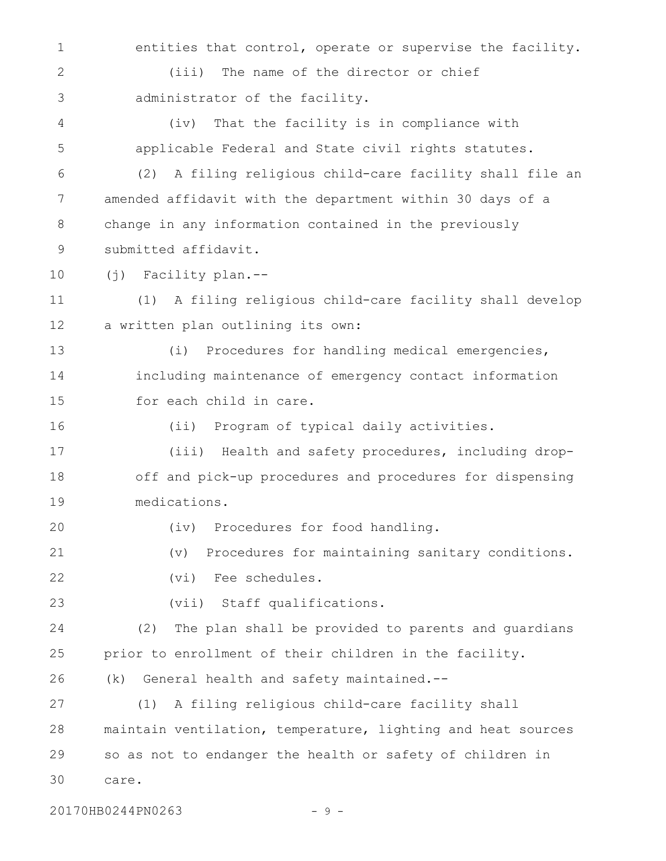entities that control, operate or supervise the facility. (iii) The name of the director or chief administrator of the facility. (iv) That the facility is in compliance with applicable Federal and State civil rights statutes. (2) A filing religious child-care facility shall file an amended affidavit with the department within 30 days of a change in any information contained in the previously submitted affidavit. (j) Facility plan.-- (1) A filing religious child-care facility shall develop a written plan outlining its own: (i) Procedures for handling medical emergencies, including maintenance of emergency contact information for each child in care. (ii) Program of typical daily activities. (iii) Health and safety procedures, including dropoff and pick-up procedures and procedures for dispensing medications. (iv) Procedures for food handling. (v) Procedures for maintaining sanitary conditions. (vi) Fee schedules. (vii) Staff qualifications. (2) The plan shall be provided to parents and guardians prior to enrollment of their children in the facility. (k) General health and safety maintained.-- (1) A filing religious child-care facility shall maintain ventilation, temperature, lighting and heat sources so as not to endanger the health or safety of children in care. 1 2 3 4 5 6 7 8 9 10 11 12 13 14 15 16 17 18 19 20 21 22 23 24 25 26 27 28 29 30

20170HB0244PN0263 - 9 -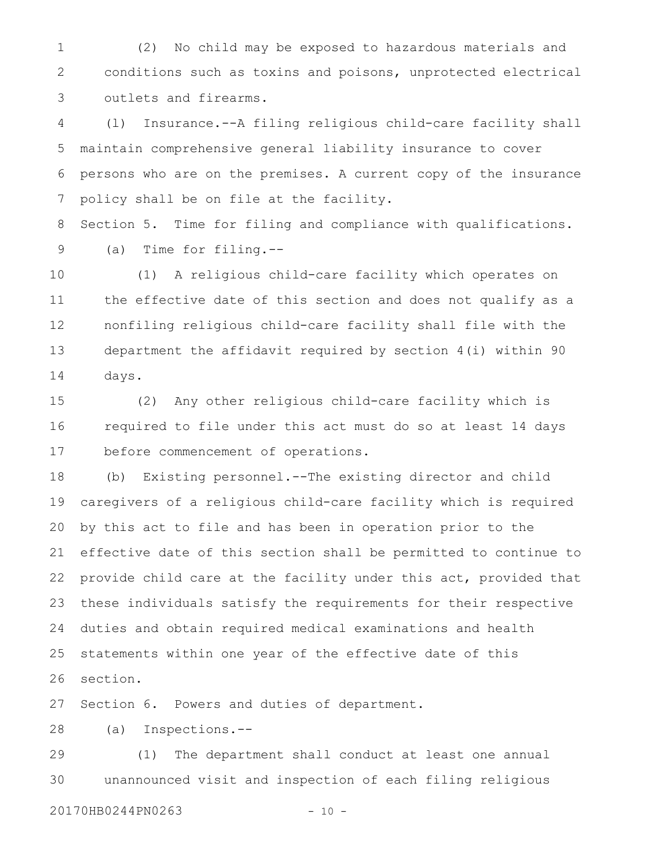(2) No child may be exposed to hazardous materials and conditions such as toxins and poisons, unprotected electrical outlets and firearms. 1 2 3

(l) Insurance.--A filing religious child-care facility shall maintain comprehensive general liability insurance to cover persons who are on the premises. A current copy of the insurance policy shall be on file at the facility. 4 5 6 7

Section 5. Time for filing and compliance with qualifications. (a) Time for filing.-- 8 9

(1) A religious child-care facility which operates on the effective date of this section and does not qualify as a nonfiling religious child-care facility shall file with the department the affidavit required by section 4(i) within 90 days. 10 11 12 13 14

(2) Any other religious child-care facility which is required to file under this act must do so at least 14 days before commencement of operations. 15 16 17

(b) Existing personnel.--The existing director and child caregivers of a religious child-care facility which is required by this act to file and has been in operation prior to the effective date of this section shall be permitted to continue to provide child care at the facility under this act, provided that these individuals satisfy the requirements for their respective duties and obtain required medical examinations and health statements within one year of the effective date of this section. 18 19 20 21 22 23 24 25 26

Section 6. Powers and duties of department. 27

(a) Inspections.-- 28

(1) The department shall conduct at least one annual unannounced visit and inspection of each filing religious 29 30

20170HB0244PN0263 - 10 -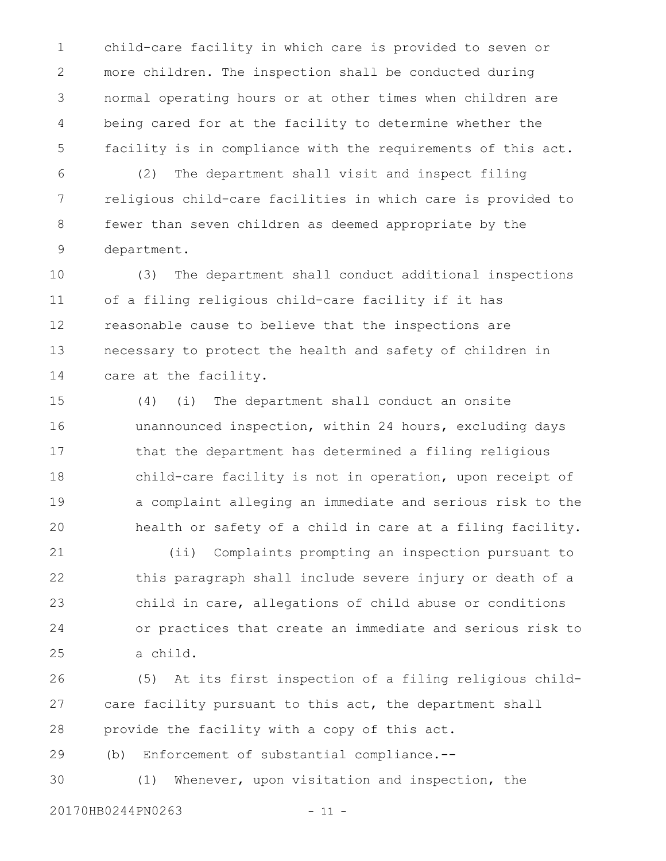child-care facility in which care is provided to seven or more children. The inspection shall be conducted during normal operating hours or at other times when children are being cared for at the facility to determine whether the facility is in compliance with the requirements of this act. 1 2 3 4 5

(2) The department shall visit and inspect filing religious child-care facilities in which care is provided to fewer than seven children as deemed appropriate by the department. 6 7 8 9

(3) The department shall conduct additional inspections of a filing religious child-care facility if it has reasonable cause to believe that the inspections are necessary to protect the health and safety of children in care at the facility. 10 11 12 13 14

(4) (i) The department shall conduct an onsite unannounced inspection, within 24 hours, excluding days that the department has determined a filing religious child-care facility is not in operation, upon receipt of a complaint alleging an immediate and serious risk to the health or safety of a child in care at a filing facility. 15 16 17 18 19 20

(ii) Complaints prompting an inspection pursuant to this paragraph shall include severe injury or death of a child in care, allegations of child abuse or conditions or practices that create an immediate and serious risk to a child. 21 22 23 24 25

(5) At its first inspection of a filing religious childcare facility pursuant to this act, the department shall provide the facility with a copy of this act. 26 27 28

(b) Enforcement of substantial compliance.-- 29

(1) Whenever, upon visitation and inspection, the 30

20170HB0244PN0263 - 11 -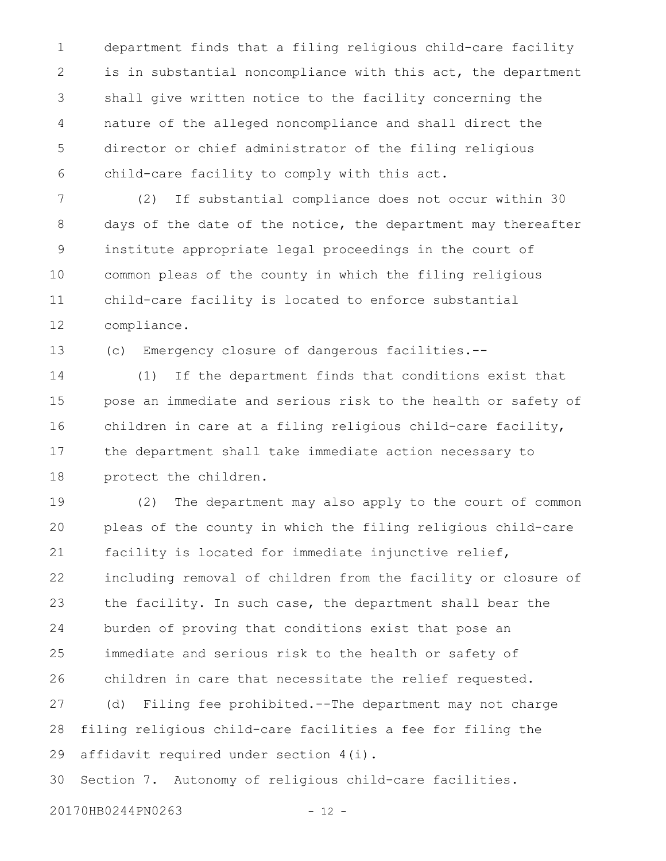department finds that a filing religious child-care facility is in substantial noncompliance with this act, the department shall give written notice to the facility concerning the nature of the alleged noncompliance and shall direct the director or chief administrator of the filing religious child-care facility to comply with this act. 1 2 3 4 5 6

(2) If substantial compliance does not occur within 30 days of the date of the notice, the department may thereafter institute appropriate legal proceedings in the court of common pleas of the county in which the filing religious child-care facility is located to enforce substantial compliance. 7 8 9 10 11 12

(c) Emergency closure of dangerous facilities.-- 13

(1) If the department finds that conditions exist that pose an immediate and serious risk to the health or safety of children in care at a filing religious child-care facility, the department shall take immediate action necessary to protect the children. 14 15 16 17 18

(2) The department may also apply to the court of common pleas of the county in which the filing religious child-care facility is located for immediate injunctive relief, including removal of children from the facility or closure of the facility. In such case, the department shall bear the burden of proving that conditions exist that pose an immediate and serious risk to the health or safety of children in care that necessitate the relief requested. (d) Filing fee prohibited.--The department may not charge filing religious child-care facilities a fee for filing the affidavit required under section 4(i). Section 7. Autonomy of religious child-care facilities. 19 20 21 22 23 24 25 26 27 28 29 30

20170HB0244PN0263 - 12 -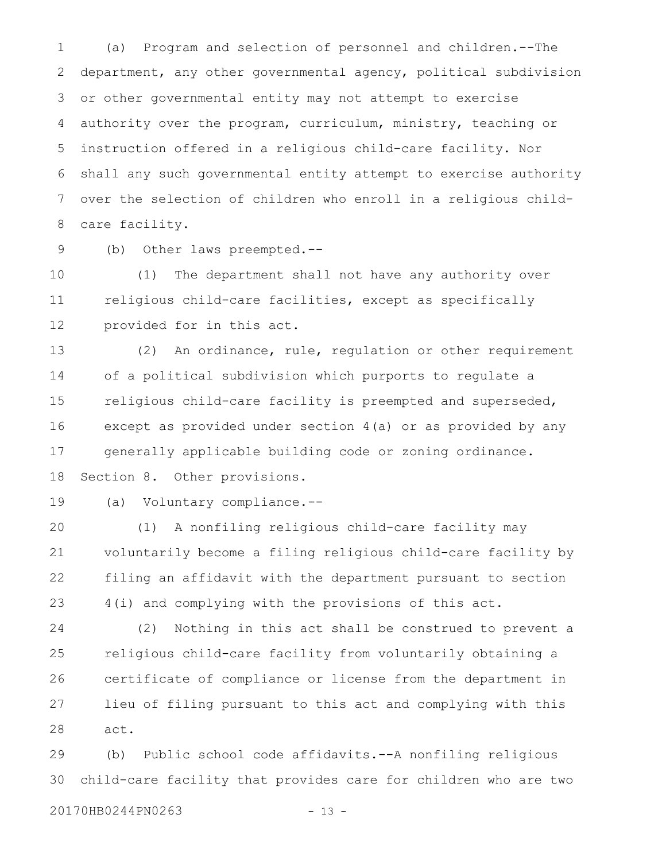(a) Program and selection of personnel and children.--The department, any other governmental agency, political subdivision or other governmental entity may not attempt to exercise authority over the program, curriculum, ministry, teaching or instruction offered in a religious child-care facility. Nor shall any such governmental entity attempt to exercise authority over the selection of children who enroll in a religious childcare facility. 1 2 3 4 5 6 7 8

9

(b) Other laws preempted.--

(1) The department shall not have any authority over religious child-care facilities, except as specifically provided for in this act. 10 11 12

(2) An ordinance, rule, regulation or other requirement of a political subdivision which purports to regulate a religious child-care facility is preempted and superseded, except as provided under section 4(a) or as provided by any generally applicable building code or zoning ordinance. Section 8. Other provisions. 13 14 15 16 17 18

19

(a) Voluntary compliance.--

(1) A nonfiling religious child-care facility may voluntarily become a filing religious child-care facility by filing an affidavit with the department pursuant to section 4(i) and complying with the provisions of this act. 20 21 22 23

(2) Nothing in this act shall be construed to prevent a religious child-care facility from voluntarily obtaining a certificate of compliance or license from the department in lieu of filing pursuant to this act and complying with this act. 24 25 26 27 28

(b) Public school code affidavits.--A nonfiling religious child-care facility that provides care for children who are two 29 30